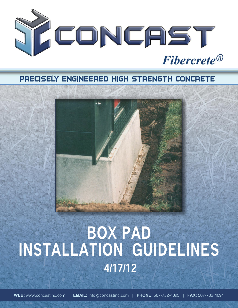

PRECISELY ENGINEERED HIGH STRENGTH CONCRETE



## **BOX PAD INSTALLATION GUIDELINES 4/17/12**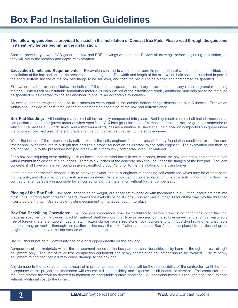## **The following guideline is provided to assist in the installation of Concast Box Pads. Please read through the guideline in its entirety before beginning the installation.**

Concast provides you with CAD generated box pad PDF drawings of each unit. Review all drawings before beginning installation, as they will aid in the location and depth of excavation.

**Excavation Limits and Requirements:** Excavation shall be to a depth that permits preparation of a foundation as specified; the installation of the box pad unit at the prescribed line and grade. The width and length of the excavation hole shall be sufficient to permit the entire bottom surface of the box pad flange to be set level, and then the backfill to be placed and compacted as specified.

Excavation shall be extended below the bottom of the structure grade as necessary to accommodate any required granular bedding material. When rock or unsuitable foundation material is encountered at the established grade, additional materials are to be removed as specified or as directed by the soil engineer to ensure an acceptable foundation.

All excavations below grade shall be to a minimum width equal to the outside bottom flange dimensions plus 6 inches. Excavation widths shall include at least three inches of clearance on each side of the box pad bottom flange.

**Box Pad Bedding:** All bedding materials shall be carefully compacted into place. Bedding requirements shall include mechanical compaction of sand and gravel material when specified. A 6 inch granular base of compacted crushed rock or granular materials; at which 100% passes a 3/8 inch sieve; and a maximum of 5% passes a number 10 sieve shall be placed on compacted sub grade under the proposed box pad unit. The sub grade shall be compacted as directed by the soils engineer.

When the bottom of the excavation is soft, or where the soils engineer feels that unsatisfactory foundation conditions exist, the contractor shall over-excavate to a depth that ensures a proper foundation as directed by the soils engineer. The excavation can then be brought back up to the prescribed box pad grade with a thoroughly compacted granular material.

For a box pad requiring extra stability such as boxes used on wind farms in seismic zones, install the box pad into a lean concrete slab with a minimum thickness of nine inches. Three to six inches of the concrete slab shall be under the flanges of the box pad. The lean concrete shall have a minimum compressive strength of 3,000 PSI prior to the installation of the transformer.

It shall be the contractor's responsibility to notify the owner and soils engineer of changing soil conditions which may be of poor bearing capacity, and also when organic soils are encountered. Where box pad unites are placed on unstable soils without notification, the contractor shall be solely responsible for all corrections of the installation without further compensation.

**Placing of the Box Pad:** Box pads, depending on weight, are either set by hand or with mechanical aid. Lifting inserts are cast into most units. If lifting from threaded inserts, thread the eyebolts or hoist rings (Concast part number 9002) all the way into the threaded inserts before lifting. Use suitable hoisting equipment to maneuver vault into place.

**Box Pad Backfilling Operations:** All box pad excavations shall be backfilled to restore pre-existing conditions, or to the final grade as specified by the owner. Backfill material shall be a granular type as required by the soils engineer, and shall be reasonably free of foreign materials, rubbish, debris, etc. Frozen clumps, oversized stone, rock, concrete, bituminous chunks, or other unsuitable materials may prevent a thorough compaction or increase the risk of after settlement. Backfill shall be placed to the desired grade height, but shall not cover the top surface of the box pad unit.

Backfill should not be bulldozed into the hole or dropped directly on the box pad.

Compaction of the materials within the encasement zones of the box pad unit shall be achieved by hand or through the use of light equipment only. The use of roller type compaction equipment and heavy construction equipment should be avoided. Use of heavy equipment to compact backfill may cause damage to the box pad.

Any damage to the box pad unit as a result of improper compaction methods will be the responsibility of the contractor. Until the final acceptance of the project, the contractor will assume full responsibility and expense for all backfill settlement. The contractor shall refill and restore the work as directed to maintain an acceptable surface condition. All additional materials required shall be furnished without additional cost to the owner.